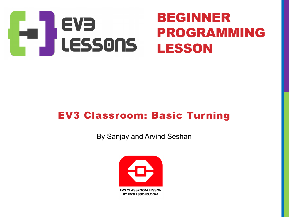

### EV3 Classroom: Basic Turning

By Sanjay and Arvind Seshan

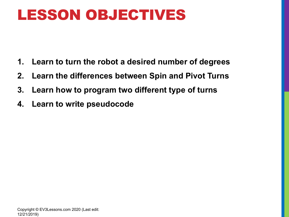### LESSON OBJECTIVES

- **1. Learn to turn the robot a desired number of degrees**
- **2. Learn the differences between Spin and Pivot Turns**
- **3. Learn how to program two different type of turns**
- **4. Learn to write pseudocode**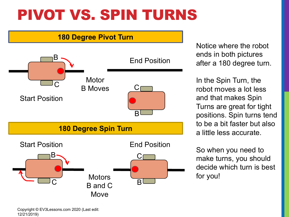## PIVOT VS. SPIN TURNS

#### **180 Degree Pivot Turn**



Notice where the robot ends in both pictures after a 180 degree turn.

In the Spin Turn, the robot moves a lot less and that makes Spin Turns are great for tight positions. Spin turns tend to be a bit faster but also a little less accurate.

So when you need to make turns, you should decide which turn is best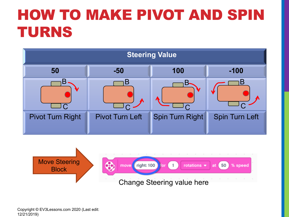# HOW TO MAKE PIVOT AND SPIN TURNS



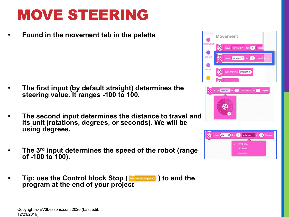### MOVE STEERING

• **Found in the movement tab in the palette**

- **The first input (by default straight) determines the steering value. It ranges -100 to 100.**
- **The second input determines the distance to travel and its unit (rotations, degrees, or seconds). We will be using degrees.**
- **The 3rd input determines the speed of the robot (range of -100 to 100).**
- Tip: use the Control block Stop ( **Rep And out program -** ) to end the **program at the end of your project**





|  |  |  | move right: 100 for 1 | rotations $\bullet$ at 50<br>% speed |  |
|--|--|--|-----------------------|--------------------------------------|--|
|  |  |  |                       |                                      |  |
|  |  |  |                       | rotations.                           |  |
|  |  |  |                       | degrees                              |  |
|  |  |  |                       | seconds                              |  |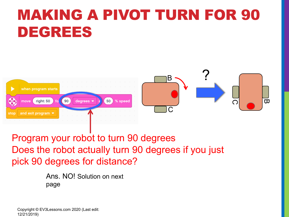# MAKING A PIVOT TURN FOR 90 DEGREES





Program your robot to turn 90 degrees Does the robot actually turn 90 degrees if you just pick 90 degrees for distance?

> Ans. NO! Solution on next page

Copyright © EV3Lessons.com 2020 (Last edit: 12/21/2019)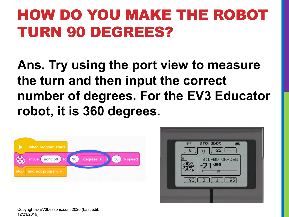# HOW DO YOU MAKE THE ROBOT TURN 90 DEGREES?

**Ans. Try using the port view to measure the turn and then input the correct number of degrees. For the EV3 Educator robot, it is 360 degrees.**





Copyright © EV3Lessons.com 2020 (Last edit: 12/21/2019)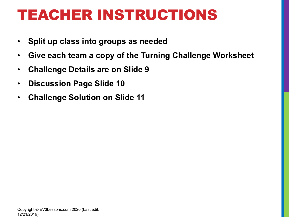### TEACHER INSTRUCTIONS

- **Split up class into groups as needed**
- **Give each team a copy of the Turning Challenge Worksheet**
- **Challenge Details are on Slide 9**
- **Discussion Page Slide 10**
- **Challenge Solution on Slide 11**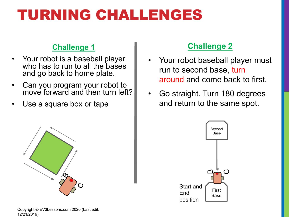### TURNING CHALLENGES

#### **Challenge 1**

- Your robot is a baseball player who has to run to all the bases and go back to home plate.
- Can you program your robot to move forward and then turn left?
- Use a square box or tape



Copyright © EV3Lessons.com 2020 (Last edit: 12/21/2019)

#### **Challenge 2**

- Your robot baseball player must run to second base, turn around and come back to first.
- Go straight. Turn 180 degrees and return to the same spot.

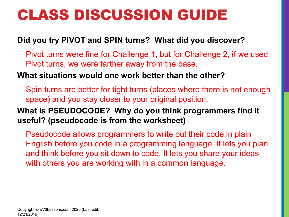### CLASS DISCUSSION GUIDE

#### **Did you try PIVOT and SPIN turns? What did you discover?**

Pivot turns were fine for Challenge 1, but for Challenge 2, if we used Pivot turns, we were farther away from the base.

#### **What situations would one work better than the other?**

Spin turns are better for tight turns (places where there is not enough space) and you stay closer to your original position.

#### **What is PSEUDOCODE? Why do you think programmers find it useful? (pseudocode is from the worksheet)**

Pseudocode allows programmers to write out their code in plain English before you code in a programming language. It lets you plan and think before you sit down to code. It lets you share your ideas with others you are working with in a common language.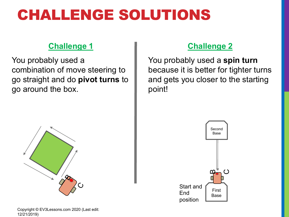### CHALLENGE SOLUTIONS

#### **Challenge 1**

You probably used a combination of move steering to go straight and do **pivot turns** to go around the box.



#### Copyright © EV3Lessons.com 2020 (Last edit: 12/21/2019)

#### **Challenge 2**

You probably used a **spin turn**  because it is better for tighter turns and gets you closer to the starting point!